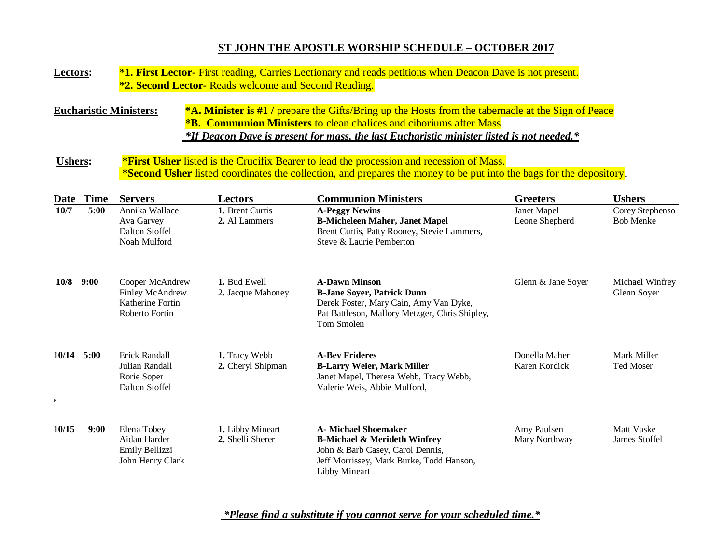# **ST JOHN THE APOSTLE WORSHIP SCHEDULE – OCTOBER 2017**

| Lectors:         |             | *1. First Lector- First reading, Carries Lectionary and reads petitions when Deacon Dave is not present.<br><b>*2. Second Lector-</b> Reads welcome and Second Reading.                                                                                                                                       |                                      |                                                                                                                                                                                |                                |                                     |  |  |  |  |
|------------------|-------------|---------------------------------------------------------------------------------------------------------------------------------------------------------------------------------------------------------------------------------------------------------------------------------------------------------------|--------------------------------------|--------------------------------------------------------------------------------------------------------------------------------------------------------------------------------|--------------------------------|-------------------------------------|--|--|--|--|
|                  |             | *A. Minister is #1 / prepare the Gifts/Bring up the Hosts from the tabernacle at the Sign of Peace<br><b>Eucharistic Ministers:</b><br><b>*B. Communion Ministers</b> to clean chalices and ciboriums after Mass<br>*If Deacon Dave is present for mass, the last Eucharistic minister listed is not needed.* |                                      |                                                                                                                                                                                |                                |                                     |  |  |  |  |
| <b>Ushers:</b>   |             | *First Usher listed is the Crucifix Bearer to lead the procession and recession of Mass.<br>*Second Usher listed coordinates the collection, and prepares the money to be put into the bags for the depository.                                                                                               |                                      |                                                                                                                                                                                |                                |                                     |  |  |  |  |
| Date             | <b>Time</b> | <b>Servers</b>                                                                                                                                                                                                                                                                                                | Lectors                              | <b>Communion Ministers</b>                                                                                                                                                     | <b>Greeters</b>                | <b>Ushers</b>                       |  |  |  |  |
| 10/7             | 5:00        | Annika Wallace<br>Ava Garvey<br><b>Dalton Stoffel</b><br>Noah Mulford                                                                                                                                                                                                                                         | 1. Brent Curtis<br>2. Al Lammers     | <b>A-Peggy Newins</b><br><b>B-Micheleen Maher, Janet Mapel</b><br>Brent Curtis, Patty Rooney, Stevie Lammers,<br>Steve & Laurie Pemberton                                      | Janet Mapel<br>Leone Shepherd  | Corey Stephenso<br><b>Bob Menke</b> |  |  |  |  |
| 10/8             | 9:00        | Cooper McAndrew<br>Finley McAndrew<br>Katherine Fortin<br>Roberto Fortin                                                                                                                                                                                                                                      | 1. Bud Ewell<br>2. Jacque Mahoney    | <b>A-Dawn Minson</b><br><b>B-Jane Soyer, Patrick Dunn</b><br>Derek Foster, Mary Cain, Amy Van Dyke,<br>Pat Battleson, Mallory Metzger, Chris Shipley,<br>Tom Smolen            | Glenn & Jane Soyer             | Michael Winfrey<br>Glenn Soyer      |  |  |  |  |
| 10/14<br>$\cdot$ | 5:00        | Erick Randall<br>Julian Randall<br>Rorie Soper<br>Dalton Stoffel                                                                                                                                                                                                                                              | 1. Tracy Webb<br>2. Cheryl Shipman   | <b>A-Bev Frideres</b><br><b>B-Larry Weier, Mark Miller</b><br>Janet Mapel, Theresa Webb, Tracy Webb,<br>Valerie Weis, Abbie Mulford,                                           | Donella Maher<br>Karen Kordick | Mark Miller<br><b>Ted Moser</b>     |  |  |  |  |
| 10/15            | 9:00        | Elena Tobey<br>Aidan Harder<br>Emily Bellizzi<br>John Henry Clark                                                                                                                                                                                                                                             | 1. Libby Mineart<br>2. Shelli Sherer | <b>A- Michael Shoemaker</b><br><b>B-Michael &amp; Merideth Winfrey</b><br>John & Barb Casey, Carol Dennis,<br>Jeff Morrissey, Mark Burke, Todd Hanson,<br><b>Libby Mineart</b> | Amy Paulsen<br>Mary Northway   | Matt Vaske<br>James Stoffel         |  |  |  |  |

 *\*Please find a substitute if you cannot serve for your scheduled time.\**